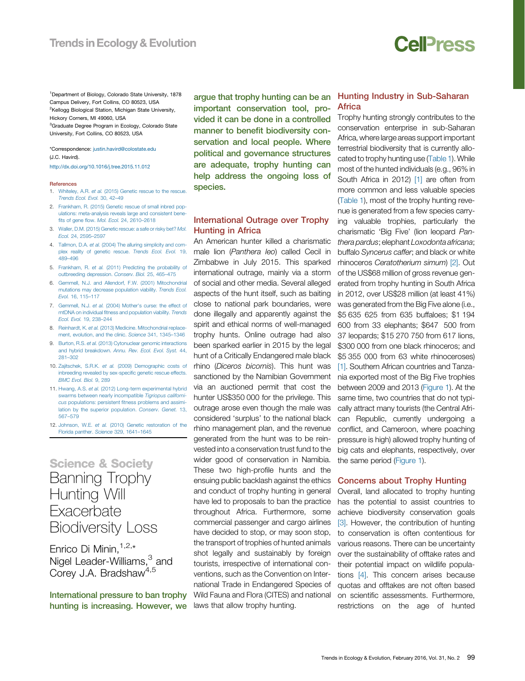# **Cell**<sub>ress</sub>

<span id="page-0-0"></span><sup>1</sup>Department of Biology, Colorado State [University,](http://refhub.elsevier.com/S0169-�5347(15)00272-�4/sbref0100) 1878 Campus [Delivery,](http://refhub.elsevier.com/S0169-�5347(15)00272-�4/sbref0100) Fort Collins, CO 80523, USA <sup>2</sup>Kellogg Biological Station, Michigan State [University,](http://refhub.elsevier.com/S0169-�5347(15)00272-�4/sbref0100) Hickory [Corners,](http://refhub.elsevier.com/S0169-�5347(15)00272-�4/sbref0100) MI 49060, USA <sup>3</sup>Graduate Degree Program in Ecology, [Colorado](http://www.nerc.ac.uk/) State University, Fort [Collins,](http://refhub.elsevier.com/S0169-�5347(15)00272-�4/sbref0105) CO 80523, USA

\*Correspondence: [justin.havird@colostate.edu](mailto:justin.havird@colostate.edu) (J.C. [Havird\).](http://refhub.elsevier.com/S0169-�5347(15)00272-�4/sbref0110)

[http](http://dx.doi.org/10.1016/j.tree.2015.11.012)[://dx.doi](http://refhub.elsevier.com/S0169-�5347(15)00272-�4/sbref0110)[.org/10.1016/j.tree.2015.11.012](http://dx.doi.org/10.1016/j.tree.2015.11.012)

#### Ref[erences](http://refhub.elsevier.com/S0169-�5347(15)00272-�4/sbref0115)

- 1. [Whiteley,](http://refhub.elsevier.com/S0169-�5347(15)00297-�9/sbref0065) A.R. et al. (2015) Genetic rescue to the rescue. [Trends](http://refhub.elsevier.com/S0169-�5347(15)00272-�4/sbref0120) Ecol. Evol. 30, 42–49
- 2. [Frankham,](http://refhub.elsevier.com/S0169-�5347(15)00297-�9/sbref0070) R. (2015) Genetic rescue of small inbred populations: [meta-analysis](http://refhub.elsevier.com/S0169-�5347(15)00297-�9/sbref0070) reveals large and consistent benefits of gene flow. Mol. Ecol. 24, [2610](http://refhub.elsevier.com/S0169-�5347(15)00297-�9/sbref0070)–2618
- 3. [Waller,](http://refhub.elsevier.com/S0169-�5347(15)00272-�4/sbref0120) D.M. (2015) [Genetic](http://refhub.elsevier.com/S0169-�5347(15)00297-�9/sbref0075) rescue: a safe or risky bet? Mol. Ecol. 24, [2595](http://refhub.elsevier.com/S0169-�5347(15)00297-�9/sbref0075)–2597
- 4. Tallmon, D.A. et al. (2004) The alluring [simplicity](http://refhub.elsevier.com/S0169-�5347(15)00297-�9/sbref0080) and complex reality of genetic [rescue.](http://refhub.elsevier.com/S0169-�5347(15)00297-�9/sbref0080) [Trends](http://dx.doi.org/10.1016/j.tree.2015.12.008) Ecol. Evol. 19, .<br>[489](http://refhub.elsevier.com/S0169-�5347(15)00297-�9/sbref0080)–496
- 5. [Frankham,](http://refhub.elsevier.com/S0169-�5347(15)00297-�9/sbref0085) R. et al. (2011) Predicting the probability of [outbreeding](http://refhub.elsevier.com/S0169-�5347(15)00297-�9/sbref0085) depression. Conserv. Biol. 25, 465–475
- 6. Gemmell, N.J. and Allendorf, F.W. (2001) [Mitochondrial](http://refhub.elsevier.com/S0169-�5347(15)00297-�9/sbref0090) mutations may decrease [population](http://refhub.elsevier.com/S0169-�5347(15)00297-�9/sbref0090) viability. Trends Ecol. [Evol.](http://refhub.elsevier.com/S0169-�5347(15)00297-�9/sbref0090) 16, 115–117
- 7. [Gemmell,](http://refhub.elsevier.com/S0169-�5347(15)00297-�9/sbref0095) N.J. et al. (2004) Mother's curse: the effect of mtDNA on individual fitness and [population](http://refhub.elsevier.com/S0169-�5347(15)00297-�9/sbref0095) viability. Trends [Ecol.](http://refhub.elsevier.com/S0169-�5347(15)00297-�9/sbref0095) Evol. 19, 238–244
- 8. Reinhardt, K. et al. (2013) Medicine. [Mitochondrial](http://refhub.elsevier.com/S0169-�5347(15)00297-�9/sbref0100) replacement, [evolution,](http://refhub.elsevier.com/S0169-�5347(15)00297-�9/sbref0100) and the clinic. Science 341, 1345–1346
- 9. Burton, R.S. et al. (2013) [Cytonuclear](http://refhub.elsevier.com/S0169-�5347(15)00297-�9/sbref0105) genomic interactions and hybrid [breakdown.](http://refhub.elsevier.com/S0169-�5347(15)00297-�9/sbref0105) Annu. Rev. Ecol. Evol. Syst. 44, [281](http://refhub.elsevier.com/S0169-�5347(15)00297-�9/sbref0105)–302
- 10. Zajitschek, S.R.K. et al. (2009) [Demographic](http://refhub.elsevier.com/S0169-�5347(15)00297-�9/sbref0110) costs of [inbreeding](http://refhub.elsevier.com/S0169-�5347(15)00297-�9/sbref0110) revealed by sex-specific genetic rescue effects. [BMC](http://refhub.elsevier.com/S0169-�5347(15)00297-�9/sbref0110) Evol. Biol. 9, 289
- 11. Hwang, A.S. et al. (2012) [Long-term](mailto:arlinghaus@igb-berlin.de) [experimental](http://refhub.elsevier.com/S0169-�5347(15)00297-�9/sbref0115) hybrid swarms [between](http://www.twitter.com/RArlinghausFish) nearly [incompatible](http://refhub.elsevier.com/S0169-�5347(15)00297-�9/sbref0115) Tigriopus californicus [populations:](http://refhub.elsevier.com/S0169-�5347(15)00294-�3/sbref0070) persistent fitness problems and assimilation by the superior [population.](http://refhub.elsevier.com/S0169-�5347(15)00297-�9/sbref0115) Conserv. Genet. 13, [567](http://refhub.elsevier.com/S0169-�5347(15)00297-�9/sbref0115)–579
- 12. Johnson, W.E. et al. (2010) Genetic [restoration](http://refhub.elsevier.com/S0169-�5347(15)00297-�9/sbref0120) of the [Flo](http://refhub.elsevier.com/S0169-�5347(15)00294-�3/sbref0075)rida [panther.](http://refhub.elsevier.com/S0169-�5347(15)00297-�9/sbref0120) Science 329, 1641–1645

## [Science](http://refhub.elsevier.com/S0169-�5347(15)00294-�3/sbref0080) & [Society](http://refhub.elsevier.com/S0169-�5347(15)00292-X/sbref0070) Banning [Trophy](http://refhub.elsevier.com/S0169-5347(15)00319-5/sbref0065) [Hunting](http://refhub.elsevier.com/S0169-5347(15)00319-5/sbref0070) Will **E[xa](http://refhub.elsevier.com/S0169-5347(15)00319-5/sbref0070)[cerbate](http://refhub.elsevier.com/S0169-�5347(15)00292-X/sbref0080)** [Biodiversity](http://refhub.elsevier.com/S0169-5347(15)00319-5/sbref0075) Loss

E[nrico](http://refhub.elsevier.com/S0169-5347(15)00319-5/sbref0080) Di Minin. $1,2,*$ Nigel [Leader-Williams,](http://refhub.elsevier.com/S0169-�5347(15)00292-X/sbref0090)<sup>3</sup> and C[orey](http://refhub.elsevier.com/S0169-5347(15)00319-5/sbref0090) J.A. [Bradshaw](http://refhub.elsevier.com/S0169-5347(15)00319-5/sbref0090)<sup>4,5</sup>

In[ternational](http://refhub.elsevier.com/S0169-5347(15)00319-5/sbref0095) [pressure](http://dx.doi.org/10.1139/cjfas-2014-�0571) to ban trophy h[unting](http://refhub.elsevier.com/S0169-5347(15)00319-5/sbref0095) is [increasing.](http://refhub.elsevier.com/S0169-�5347(15)00292-X/sbref0100) However, we argue that trophy [hunting](http://refhub.elsevier.com/S0169-5347(15)00319-5/sbref0105) can be an i[mportant](http://refhub.elsevier.com/S0169-5347(15)00319-5/sbref0105) [conservation](http://refhub.elsevier.com/S0169-�5347(15)00292-X/sbref0105) tool, provided it can be done in a [controlled](http://refhub.elsevier.com/S0169-5347(15)00319-5/sbref0110) m[anner](http://refhub.elsevier.com/S0169-5347(15)00319-5/sbref0110) to benefit [biodiversity](http://refhub.elsevier.com/S0169-�5347(15)00292-X/sbref0110) con[servation](http://www.resalliance.org/) and local [people.](http://refhub.elsevier.com/S0169-5347(15)00319-5/sbref0115) Where political and [governance](http://refhub.elsevier.com/S0169-5347(15)00319-5/sbref0115) structures are [adequate,](http://refhub.elsevier.com/S0169-�5347(15)00292-X/sbref0120) trophy hunting can help address the [ongoing](http://refhub.elsevier.com/S0169-�5347(15)00292-X/sbref0120) loss of s[pecies.](http://refhub.elsevier.com/S0169-�5347(15)00292-X/sbref0120)

### International Outrage over Trophy Hunting in [Africa](http://refhub.elsevier.com/S0169-�5347(15)00274-�8/sbref0065)

An [America](http://refhub.elsevier.com/S0169-�5347(15)00274-�8/sbref0065)n [hunter](mailto:whitlock@zoology.ubc.ca) killed a [charismatic](http://refhub.elsevier.com/S0169-�5347(15)00274-�8/sbref0065) male lion ([Panthera](http://refhub.elsevier.com/S0169-�5347(15)00274-�8/sbref0070) leo) called Cecil in [Zimbabwe](http://dx.doi.org/10.1016/j.tree.2015.12.001) in July 2015. This [sparked](http://refhub.elsevier.com/S0169-�5347(15)00274-�8/sbref0070) int[ernational](http://refhub.elsevier.com/S0169-�5347(15)00274-�8/sbref0075) outrage, mainly via a storm of [social](http://refhub.elsevier.com/S0169-�5347(15)00274-�8/sbref0075) and other media. [Several](http://refhub.elsevier.com/S0169-�5347(15)00298-�0/sbref0050) alleged a[spects](http://refhub.elsevier.com/S0169-�5347(15)00298-�0/sbref0050) of the hunt itself, such as [baiting](http://refhub.elsevier.com/S0169-�5347(15)00274-�8/sbref0080) close to national park [boundaries,](http://refhub.elsevier.com/S0169-�5347(15)00274-�8/sbref0085) were done [illegally](http://refhub.elsevier.com/S0169-�5347(15)00298-�0/sbref0055) and [apparently](http://refhub.elsevier.com/S0169-�5347(15)00274-�8/sbref0085) against the spirit and ethical [norms](mailto:dmills@stny.rr.com) of [well-managed](http://refhub.elsevier.com/S0169-�5347(15)00298-�0/sbref0060) trophy [hunts.](http://refhub.elsevier.com/S0169-�5347(15)00274-�8/sbref0090) Online [outrage](http://refhub.elsevier.com/S0169-�5347(15)00298-�0/sbref0065) had also been [sparked](http://refhub.elsevier.com/S0169-�5347(15)00298-�0/sbref0065) earlier in 2015 by the legal h[unt](http://refhub.elsevier.com/S0169-�5347(15)00298-�0/sbref0065) of a Critically [Endangered](http://refhub.elsevier.com/S0169-�5347(15)00274-�8/sbref0095) male black rhino (Diceros [bicornis](http://refhub.elsevier.com/S0169-�5347(15)00274-�8/sbref0100)). This hunt was sanctioned by the Namibian [Government](http://refhub.elsevier.com/S0169-�5347(15)00298-�0/sbref0075) via an [auctioned](http://refhub.elsevier.com/S0169-�5347(15)00301-�8/sbref0040) permit that cost the hunter [US\\$350](http://refhub.elsevier.com/S0169-�5347(15)00274-�8/sbref0105) 000 for the [privilege.](http://refhub.elsevier.com/S0169-�5347(15)00298-�0/sbref0080) This outrage arose even [though](http://refhub.elsevier.com/S0169-�5347(15)00301-�8/sbref0050) the male was c[on](http://refhub.elsevier.com/S0169-�5347(15)00301-�8/sbref0050)[sidered](http://refhub.elsevier.com/S0169-�5347(15)00274-�8/sbref0110) 'surplus' to the national black rhino [management](http://refhub.elsevier.com/S0169-�5347(15)00298-�0/sbref0090) plan, and the revenue g[enerated](http://refhub.elsevier.com/S0169-�5347(15)00301-�8/sbref0055) from the hunt was to be reinvested into a [conservation](http://refhub.elsevier.com/S0169-�5347(15)00274-�8/sbref0120) trust fund to the w[ider](http://refhub.elsevier.com/S0169-�5347(15)00301-�8/sbref0060) good of [conservation](http://refhub.elsevier.com/S0169-�5347(15)00274-�8/sbref0120) in Namibia. These two high-profile hunts and the ensuing public [backlash](http://theconversation.com/ecotourism-could-be-making-animals-less-scared-and-easier-to-eat-49196) against the ethics and [conduct](http://theconversation.com/ecotourism-could-be-making-animals-less-scared-and-easier-to-eat-49196) of trophy hunting in general [have](http://theconversation.com/ecotourism-could-be-making-animals-less-scared-and-easier-to-eat-49196) led to proposals to ban the practice throughout Africa. Furthermore, some commercial passenger and cargo airlines have decided to stop, or may soon stop, the transport of [trophies](mailto:akira.s.mori@gmail.com) of hunted animals shot legally and [sustainably](http://dx.doi.org/10.1016/j.tree.2015.12.010) by foreign tourists, irrespective of international conventions, such as the Convention on International Trade in [Endangered](http://refhub.elsevier.com/S0169-�5347(15)00321-�3/sbref0075) Species of Wild Fauna and Flora (CITES) and [national](http://refhub.elsevier.com/S0169-�5347(15)00321-�3/sbref0080) laws that allow [trophy](http://refhub.elsevier.com/S0169-�5347(15)00321-�3/sbref0080) [hunting.](http://refhub.elsevier.com/S0169-�5347(15)00321-�3/sbref0080)

### Hunting Industry in [Sub-Saharan](http://refhub.elsevier.com/S0169-�5347(15)00321-�3/sbref0090) Af[rica](http://refhub.elsevier.com/S0169-�5347(15)00321-�3/sbref0090)

Tr[ophy](http://refhub.elsevier.com/S0169-�5347(15)00273-�6/sbref0065) hunting strongly [contribu](http://refhub.elsevier.com/S0169-�5347(15)00321-�3/sbref0095)[tes](http://dx.doi.org/10.1016/j.tree.2015.10.009) to the [conservation](http://dx.doi.org/10.1016/j.tree.2015.10.009) enterprise in [sub-Saharan](http://refhub.elsevier.com/S0169-�5347(15)00273-�6/sbref0070) Af[rica,](http://refhub.elsevier.com/S0169-�5347(15)00273-�6/sbref0070) where large areas support [important](http://refhub.elsevier.com/S0169-�5347(15)00321-�3/sbref0100) te[rrestrial](http://refhub.elsevier.com/S0169-�5347(15)00321-�3/sbref0100) [biodiversity](http://refhub.elsevier.com/S0169-�5347(15)00273-�6/sbref0075) that is currently allocated to [trophy](http://refhub.elsevier.com/S0169-�5347(15)00273-�6/sbref0075) [hunting](http://refhub.elsevier.com/S0169-�5347(15)00273-�6/sbref0075) use [\(Table](#page-1-0) 1). While most of the hunted [individuals](http://refhub.elsevier.com/S0169-�5347(15)00321-�3/sbref0105) (e.g., 96% in South Africa in [2012\)](http://refhub.elsevier.com/S0169-�5347(15)00273-�6/sbref0080) [\[1\]](#page-3-0) are often from more [common](http://refhub.elsevier.com/S0169-�5347(15)00273-�6/sbref0085) and less valuable species [\(Table](#page-1-0) 1), [mos](http://refhub.elsevier.com/S0169-�5347(15)00273-�6/sbref0085)t of the trophy [hunting](http://refhub.elsevier.com/S0169-�5347(15)00321-�3/sbref0115) revenue is [generated](http://refhub.elsevier.com/S0169-�5347(15)00273-�6/sbref0090) from a few species carrying valuable [trophies,](http://refhub.elsevier.com/S0169-�5347(15)00321-�3/sbref0120) [particularly](http://refhub.elsevier.com/S0169-�5347(15)00273-�6/sbref0095) the ch[arismatic](http://refhub.elsevier.com/S0169-�5347(15)00321-�3/sbref0125) 'Big Five' (lion leopard Panthera pardus; [elephant](http://refhub.elsevier.com/S0169-�5347(15)00273-�6/sbref0095) [Loxodonta](http://refhub.elsevier.com/S0169-�5347(15)00321-�3/sbref0130) africana; buffalo [Syncerus](http://refhub.elsevier.com/S0169-�5347(15)00321-�3/sbref0130) caffer; and black or white rhi[nocero](http://refhub.elsevier.com/S0169-�5347(15)00321-�3/sbref0130)s [Ceratotherium](http://refhub.elsevier.com/S0169-�5347(15)00273-�6/sbref0100) simum) [\[2\].](#page-3-0) Out of the US\$68 million of gross [revenue](http://refhub.elsevier.com/S0169-�5347(15)00273-�6/sbref0125) generated from [trophy](http://refhub.elsevier.com/S0169-�5347(15)00321-�3/sbref0135) [hunting](http://refhub.elsevier.com/S0169-�5347(15)00273-�6/sbref0110) in South Africa in 2012, over [US\\$28](http://refhub.elsevier.com/S0169-�5347(15)00273-�6/sbref0110) million (at least 41%) was [gener](http://refhub.elsevier.com/S0169-�5347(15)00321-�3/sbref0140)[ated](http://refhub.elsevier.com/S0169-�5347(15)00273-�6/sbref0110) from the Big Five alone (i.e., \$5 635 625 from 635 [buffaloes;](http://refhub.elsevier.com/S0169-�5347(15)00273-�6/sbref0115) \$1 194 600 from 33 elephants; \$647 500 from 37 leopards; \$15 270 750 from 617 [lions,](http://dx.doi.org/10.1111/brv.12224) \$300 000 [from](http://dx.doi.org/10.1111/brv.12224) one black rhinoceros; and \$5 355 000 from 63 white rhinoceroses) [\[1\]](#page-3-0). Southern African countries and [Tanza](http://biorxiv.org/content/early/2015/10/11/028837)nia [exported](http://biorxiv.org/content/early/2015/10/11/028837) most of the Big Five trophies between 2009 and 2013 [\(Figure](#page-2-0) 1). At the same time, two countries that do not typically attract many tourists (the Central African Republic, currently undergoing a conflict, and [Cameroon,](mailto:brian.hand@umontana.edu) where poaching [pressure](http://dx.doi.org/10.1016/j.tree.2015.10.009) is high) allowed trophy hunting of big cats and elephants, respectively, over the same period [\(](http://refhub.elsevier.com/S0169-�5347(15)00272-�4/sbref0065)[Figure](#page-2-0) 1).

### C[oncern](http://refhub.elsevier.com/S0169-�5347(15)00272-�4/sbref0065)s about Trophy [Hunting](http://refhub.elsevier.com/S0169-�5347(15)00272-�4/sbref0070)

Overall, land [allocated](http://refhub.elsevier.com/S0169-�5347(15)00272-�4/sbref0070) to trophy hunting has the potential to assist [countries](http://refhub.elsevier.com/S0169-�5347(15)00272-�4/sbref0075) to achieve [biodiversit](http://refhub.elsevier.com/S0169-�5347(15)00272-�4/sbref0075)y [conservation](http://refhub.elsevier.com/S0169-�5347(15)00272-�4/sbref0075) goals [\[3\]](#page-3-0). However, the [contribution](http://refhub.elsevier.com/S0169-�5347(15)00272-�4/sbref0080) of hunting to [conservation](http://refhub.elsevier.com/S0169-�5347(15)00272-�4/sbref0080) is often contentious for various reasons. There can be [uncertainty](http://refhub.elsevier.com/S0169-�5347(15)00272-�4/sbref0080) over the [sustainability](http://refhub.elsevier.com/S0169-�5347(15)00272-�4/sbref0080) of offtake rates and their [potential](http://refhub.elsevier.com/S0169-�5347(15)00272-�4/sbref0085) impact on wildlife populations [\[4\].](#page-3-0) This [concern](http://refhub.elsevier.com/S0169-�5347(15)00272-�4/sbref0085) arises because quotas and [offtakes](http://refhub.elsevier.com/S0169-�5347(15)00272-�4/sbref0090) are not often based on [scienti](http://refhub.elsevier.com/S0169-�5347(15)00272-�4/sbref0090)fic assessments. Furthermore, re[strictions](http://refhub.elsevier.com/S0169-�5347(15)00272-�4/sbref0095) on the age of hunted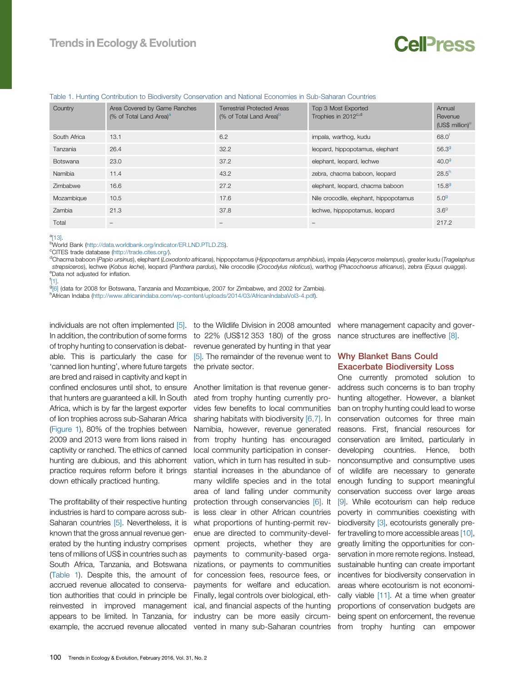# CalPrass

#### <span id="page-1-0"></span>Table 1. Hunting Contribution to Biodiversity Conservation and National Economies in Sub-Saharan Countries

| Country         | Area Covered by Game Ranches<br>(% of Total Land Area) <sup>a</sup> | <b>Terrestrial Protected Areas</b><br>(% of Total Land Area) <sup>b</sup> | Top 3 Most Exported<br>Trophies in 2012 <sup>c,d</sup> | Annual<br>Revenue<br>(US\$ million) <sup>e</sup> |
|-----------------|---------------------------------------------------------------------|---------------------------------------------------------------------------|--------------------------------------------------------|--------------------------------------------------|
| South Africa    | 13.1                                                                | 6.2                                                                       | impala, warthog, kudu                                  | $68.0^{t}$                                       |
| Tanzania        | 26.4                                                                | 32.2                                                                      | leopard, hippopotamus, elephant                        | 56.3 <sup>9</sup>                                |
| <b>Botswana</b> | 23.0                                                                | 37.2                                                                      | elephant, leopard, lechwe                              | 40.0 <sup>9</sup>                                |
| Namibia         | 11.4                                                                | 43.2                                                                      | zebra, chacma baboon, leopard                          | $28.5^{h}$                                       |
| Zimbabwe        | 16.6                                                                | 27.2                                                                      | elephant, leopard, chacma baboon                       | $15.8^{9}$                                       |
| Mozambique      | 10.5                                                                | 17.6                                                                      | Nile crocodile, elephant, hippopotamus                 | 5.0 <sup>9</sup>                                 |
| Zambia          | 21.3                                                                | 37.8                                                                      | lechwe, hippopotamus, leopard                          | 3.6 <sup>g</sup>                                 |
| Total           |                                                                     |                                                                           |                                                        | 217.2                                            |

 $a$ [13] <sup>a</sup>[13].<br><sup>b</sup>M/or

<sup>b</sup>World Bank [\(http://data.worldbank.org/indicator/ER.LND.PTLD.ZS](http://data.worldbank.org/indicator/ER.LND.PTLD.ZS)).<br><sup>c</sup>CITES trade database (http://trade.cites.org/)

<sup>c</sup>CITES trade database [\(http://trade.cites.org/](http://trade.cites.org/)).

<sup>d</sup>Chacma baboon (Papio ursinus), elephant (Loxodonto africana), hippopotamus (Hippopotamus amphibius), impala (Aepyceros melampus), greater kudu (Tragelaphus strepsiceros), lechwe (Kobus leche), leopard (Panthera pardus), Nile crocodile (Crocodylus niloticus), warthog (Phacochoerus africanus), zebra (Equus quagga). <sup>e</sup>Data not adjusted for inflation.<br><sup>f</sup>[1].

[1].<br>grai

<sup>9</sup>[6] (data for 2008 for Botswana, Tanzania and Mozambique, 2007 for Zimbabwe, and 2002 for Zambia).<br><sup>h</sup>African Indaba (http://www.africanindaba.com/wn-contant/unloads/2014/03/AfricanIndabaVol3-4 pdf).

hAfrican Indaba ([http://www.africanindaba.com/wp-content/uploads/2014/03/AfricanIndabaVol3-4.pdf](http://www.africanindaba.com/wp-content/uploads/2014/03/AfricanIndabaVol3-�4.pdf)).

In addition, the contribution of some forms to 22% (US\$12 353 180) of the gross of trophy hunting to conservation is debat-revenue generated by hunting in that year 'canned lion hunting', where future targets the private sector. are bred and raised in captivity and kept in confined enclosures until shot, to ensure that hunters are guaranteed a kill. In South Africa, which is by far the largest exporter of lion trophies across sub-Saharan Africa [\(Figure](#page-2-0) 1), 80% of the trophies between 2009 and 2013 were from lions raised in captivity or ranched. The ethics of canned hunting are dubious, and this abhorrent practice requires reform before it brings down ethically practiced hunting.

The profitability of their respective hunting industries is hard to compare across sub-Saharan countries [\[5\]](#page-3-0). Nevertheless, it is known that the gross annual revenue generated by the hunting industry comprises tens of millions of US\$ in countries such as South Africa, Tanzania, and Botswana (Table 1). Despite this, the amount of accrued revenue allocated to conservation authorities that could in principle be reinvested in improved management appears to be limited. In Tanzania, for example, the accrued revenue allocated vented in many sub-Saharan countries

able. This is particularly the case for [\[5\].](#page-3-0) The remainder of the revenue went to **Why Blanket Bans Could** 

Another limitation is that revenue generated from trophy hunting currently provides few benefits to local communities sharing habitats with biodiversity [\[6,7\].](#page-3-0) In Namibia, however, revenue generated from trophy hunting has encouraged local community participation in conservation, which in turn has resulted in substantial increases in the abundance of many wildlife species and in the total area of land falling under community protection through conservancies [\[6\]](#page-3-0). It is less clear in other African countries what proportions of hunting-permit revenue are directed to community-development projects, whether they are payments to community-based organizations, or payments to communities for concession fees, resource fees, or payments for welfare and education. Finally, legal controls over biological, ethical, and financial aspects of the hunting industry can be more easily circum-

individuals are not often implemented [\[5\]](#page-3-0). to the Wildlife Division in 2008 amounted where management capacity and governance structures are ineffective [\[8\]](#page-3-0).

# Exacerbate Biodiversity Loss

One currently promoted solution to address such concerns is to ban trophy hunting altogether. However, a blanket ban on trophy hunting could lead to worse conservation outcomes for three main reasons. First, financial resources for conservation are limited, particularly in developing countries. Hence, both nonconsumptive and consumptive uses of wildlife are necessary to generate enough funding to support meaningful conservation success over large areas [\[9\]](#page-3-0). While ecotourism can help reduce poverty in communities coexisting with biodiversity [\[3\],](#page-3-0) ecotourists generally prefer travelling to more accessible areas [\[10\]](#page-3-0), greatly limiting the opportunities for conservation in more remote regions. Instead, sustainable hunting can create important incentives for biodiversity conservation in areas where ecotourism is not economi-cally viable [\[11\].](#page-3-0) At a time when greater proportions of conservation budgets are being spent on enforcement, the revenue from trophy hunting can empower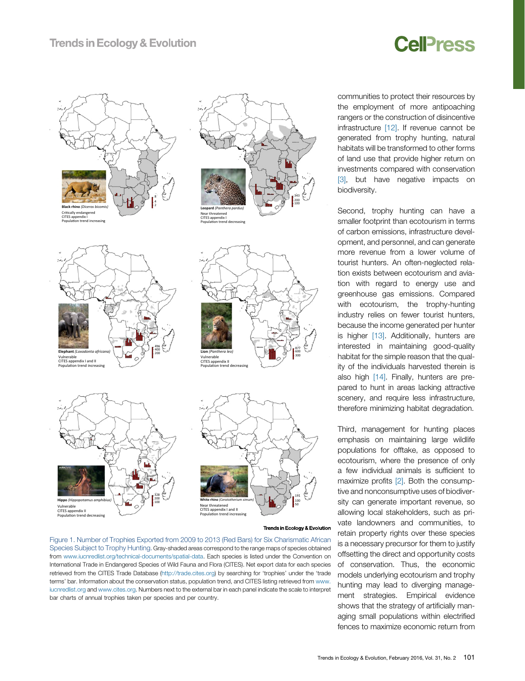# **Cell**<sub>ress</sub>

<span id="page-2-0"></span>

**Hippo** *(Hippopotamus amphibius)* Vulnerable CITES appendix II Population trend decreasing



Trends in Ecology & Evolution

343 200 100

> 877 600 300

Figure 1. Number of Trophies Exported from 2009 to 2013 (Red Bars) for Six Charismatic African Species Subject to Trophy Hunting. Gray-shaded areas correspond to the range maps of species obtained from [www.iucnredlist.org/technical-documents/spatial-data.](http://www.iucnredlist.org/technical-documents/spatial-data) Each species is listed under the Convention on International Trade in Endangered Species of Wild Fauna and Flora (CITES). Net export data for each species retrieved from the CITES Trade Database ([http://trade.cites.org\)](http://trade.cites.org/) by searching for 'trophies' under the 'trade terms' bar. Information about the conservation status, population trend, and CITES listing retrieved from [www.](http://www.iucnredlist.org/) [iucnredlist.org](http://www.iucnredlist.org/) and [www.cites.org.](http://www.cites.org/) Numbers next to the external bar in each panel indicate the scale to interpret bar charts of annual trophies taken per species and per country.

328 200 100 communities to protect their resources by the employment of more antipoaching rangers or the construction of disincentive infrastructure [\[12\]](#page-3-0). If revenue cannot be generated from trophy hunting, natural habitats will be transformed to other forms of land use that provide higher return on investments compared with conservation [\[3\]](#page-3-0), but have negative impacts on biodiversity.

Second, trophy hunting can have a smaller footprint than ecotourism in terms of carbon emissions, infrastructure development, and personnel, and can generate more revenue from a lower volume of tourist hunters. An often-neglected relation exists between ecotourism and aviation with regard to energy use and greenhouse gas emissions. Compared with ecotourism, the trophy-hunting industry relies on fewer tourist hunters, because the income generated per hunter is higher  $[13]$ . Additionally, hunters are interested in maintaining good-quality habitat for the simple reason that the quality of the individuals harvested therein is also high [\[14\]](#page-3-0). Finally, hunters are prepared to hunt in areas lacking attractive scenery, and require less infrastructure, therefore minimizing habitat degradation.

Third, management for hunting places emphasis on maintaining large wildlife populations for offtake, as opposed to ecotourism, where the presence of only a few individual animals is sufficient to maximize profits [\[2\].](#page-3-0) Both the consumptive and nonconsumptive uses of biodiversity can generate important revenue, so allowing local stakeholders, such as private landowners and communities, to retain property rights over these species is a necessary precursor for them to justify offsetting the direct and opportunity costs of conservation. Thus, the economic models underlying ecotourism and trophy hunting may lead to diverging management strategies. Empirical evidence shows that the strategy of artificially managing small populations within electrified fences to maximize economic return from